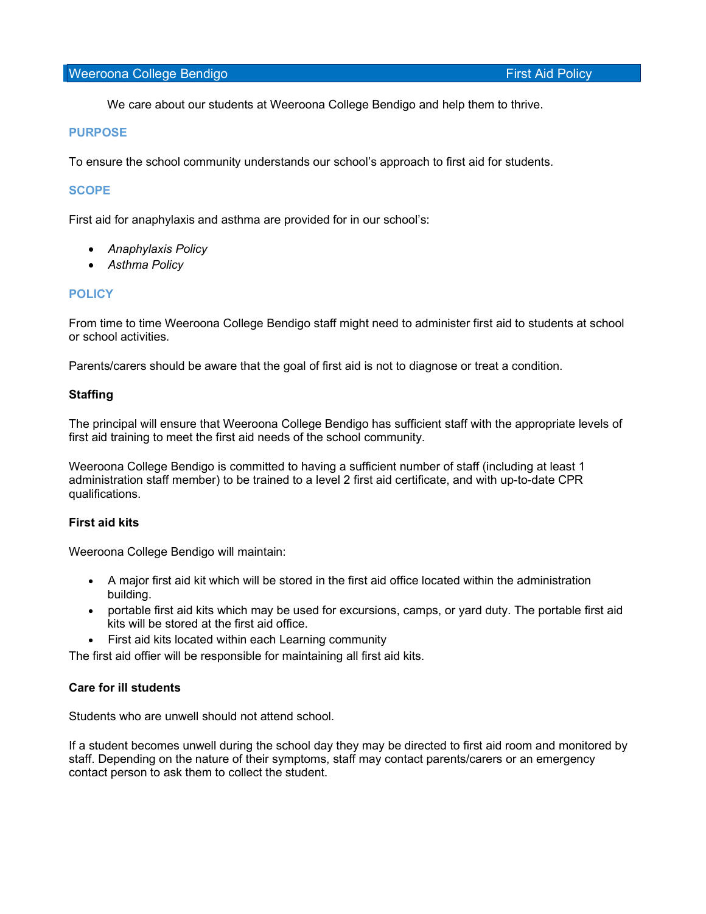We care about our students at Weeroona College Bendigo and help them to thrive.

### PURPOSE

To ensure the school community understands our school's approach to first aid for students.

## **SCOPE**

First aid for anaphylaxis and asthma are provided for in our school's:

- Anaphylaxis Policy
- Asthma Policy

## **POLICY**

From time to time Weeroona College Bendigo staff might need to administer first aid to students at school or school activities.

Parents/carers should be aware that the goal of first aid is not to diagnose or treat a condition.

#### **Staffing**

The principal will ensure that Weeroona College Bendigo has sufficient staff with the appropriate levels of first aid training to meet the first aid needs of the school community.

Weeroona College Bendigo is committed to having a sufficient number of staff (including at least 1 administration staff member) to be trained to a level 2 first aid certificate, and with up-to-date CPR qualifications.

## First aid kits

Weeroona College Bendigo will maintain:

- A major first aid kit which will be stored in the first aid office located within the administration building.
- portable first aid kits which may be used for excursions, camps, or yard duty. The portable first aid kits will be stored at the first aid office.
- First aid kits located within each Learning community

The first aid offier will be responsible for maintaining all first aid kits.

### Care for ill students

Students who are unwell should not attend school.

If a student becomes unwell during the school day they may be directed to first aid room and monitored by staff. Depending on the nature of their symptoms, staff may contact parents/carers or an emergency contact person to ask them to collect the student.